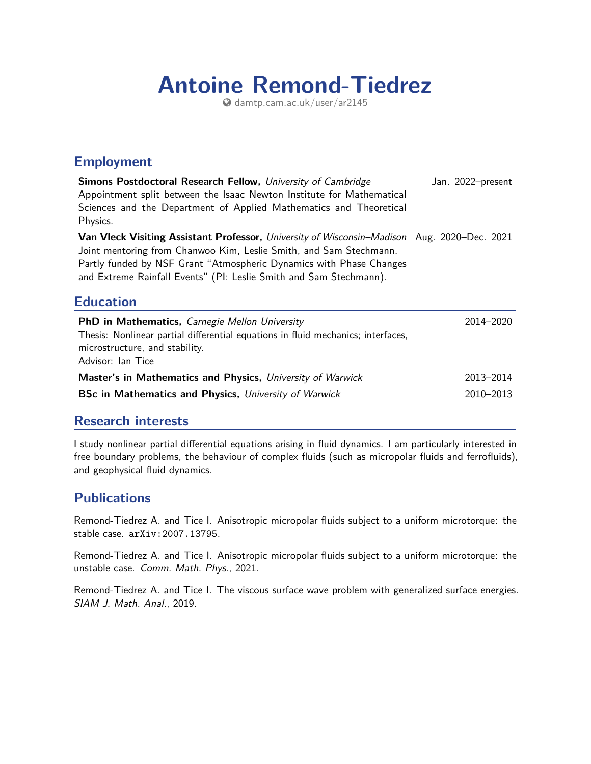# **Antoine Remond-Tiedrez**

[damtp.cam.ac.uk/user/ar2145](http://damtp.cam.ac.uk/user/ar2145)

#### **Employment**

| Simons Postdoctoral Research Fellow, University of Cambridge<br>Appointment split between the Isaac Newton Institute for Mathematical<br>Sciences and the Department of Applied Mathematics and Theoretical<br>Physics.                                                                                               | Jan. 2022-present |
|-----------------------------------------------------------------------------------------------------------------------------------------------------------------------------------------------------------------------------------------------------------------------------------------------------------------------|-------------------|
| <b>Van Vleck Visiting Assistant Professor,</b> University of Wisconsin–Madison Aug. 2020–Dec. 2021<br>Joint mentoring from Chanwoo Kim, Leslie Smith, and Sam Stechmann.<br>Partly funded by NSF Grant "Atmospheric Dynamics with Phase Changes<br>and Extreme Rainfall Events" (PI: Leslie Smith and Sam Stechmann). |                   |
| <b>Education</b>                                                                                                                                                                                                                                                                                                      |                   |
| <b>PhD in Mathematics, Carnegie Mellon University</b><br>Thesis: Nonlinear partial differential equations in fluid mechanics; interfaces,<br>microstructure, and stability.<br>Advisor: Ian Tice                                                                                                                      | 2014–2020         |
| Master's in Mathematics and Physics, University of Warwick                                                                                                                                                                                                                                                            | 2013-2014         |

#### **Research interests**

I study nonlinear partial differential equations arising in fluid dynamics. I am particularly interested in free boundary problems, the behaviour of complex fluids (such as micropolar fluids and ferrofluids), and geophysical fluid dynamics.

#### **Publications**

Remond-Tiedrez A. and Tice I. Anisotropic micropolar fluids subject to a uniform microtorque: the stable case. [arXiv:2007.13795](https://arxiv.org/abs/2007.13795).

Remond-Tiedrez A. and Tice I. Anisotropic micropolar fluids subject to a uniform microtorque: the unstable case. Comm. Math. Phys., 2021.

Remond-Tiedrez A. and Tice I. The viscous surface wave problem with generalized surface energies. SIAM J. Math. Anal., 2019.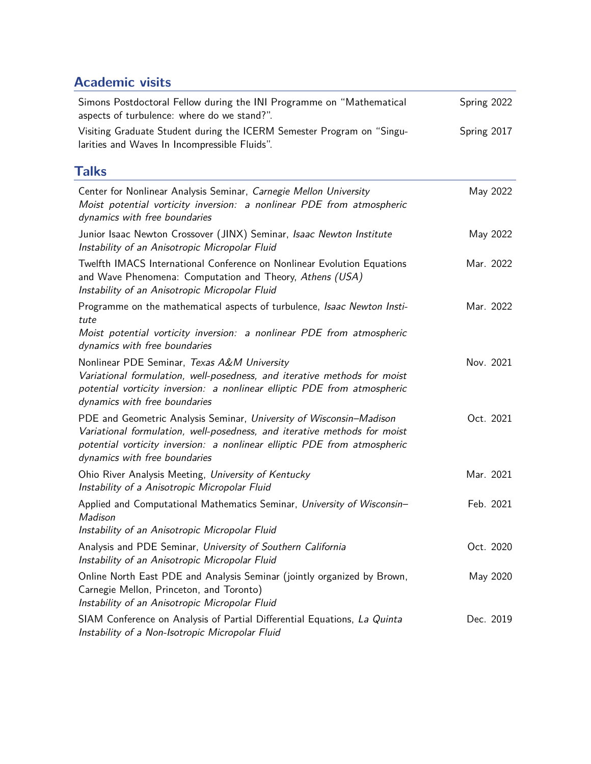## **Academic visits**

| Simons Postdoctoral Fellow during the INI Programme on "Mathematical<br>aspects of turbulence: where do we stand?".                                                                                                                                          | Spring 2022 |
|--------------------------------------------------------------------------------------------------------------------------------------------------------------------------------------------------------------------------------------------------------------|-------------|
| Visiting Graduate Student during the ICERM Semester Program on "Singu-<br>larities and Waves In Incompressible Fluids".                                                                                                                                      | Spring 2017 |
| <b>Talks</b>                                                                                                                                                                                                                                                 |             |
| Center for Nonlinear Analysis Seminar, Carnegie Mellon University<br>Moist potential vorticity inversion: a nonlinear PDE from atmospheric<br>dynamics with free boundaries                                                                                  | May 2022    |
| Junior Isaac Newton Crossover (JINX) Seminar, Isaac Newton Institute<br>Instability of an Anisotropic Micropolar Fluid                                                                                                                                       | May 2022    |
| Twelfth IMACS International Conference on Nonlinear Evolution Equations<br>and Wave Phenomena: Computation and Theory, Athens (USA)<br>Instability of an Anisotropic Micropolar Fluid                                                                        | Mar. 2022   |
| Programme on the mathematical aspects of turbulence, Isaac Newton Insti-<br>tute<br>Moist potential vorticity inversion: a nonlinear PDE from atmospheric<br>dynamics with free boundaries                                                                   | Mar. 2022   |
| Nonlinear PDE Seminar, Texas A&M University<br>Variational formulation, well-posedness, and iterative methods for moist<br>potential vorticity inversion: a nonlinear elliptic PDE from atmospheric<br>dynamics with free boundaries                         | Nov. 2021   |
| PDE and Geometric Analysis Seminar, University of Wisconsin-Madison<br>Variational formulation, well-posedness, and iterative methods for moist<br>potential vorticity inversion: a nonlinear elliptic PDE from atmospheric<br>dynamics with free boundaries | Oct. 2021   |
| Ohio River Analysis Meeting, University of Kentucky<br>Instability of a Anisotropic Micropolar Fluid                                                                                                                                                         | Mar. 2021   |
| Applied and Computational Mathematics Seminar, University of Wisconsin-<br>Madison<br>Instability of an Anisotropic Micropolar Fluid                                                                                                                         | Feb. 2021   |
| Analysis and PDE Seminar, University of Southern California<br>Instability of an Anisotropic Micropolar Fluid                                                                                                                                                | Oct. 2020   |
| Online North East PDE and Analysis Seminar (jointly organized by Brown,<br>Carnegie Mellon, Princeton, and Toronto)<br>Instability of an Anisotropic Micropolar Fluid                                                                                        | May 2020    |
| SIAM Conference on Analysis of Partial Differential Equations, La Quinta<br>Instability of a Non-Isotropic Micropolar Fluid                                                                                                                                  | Dec. 2019   |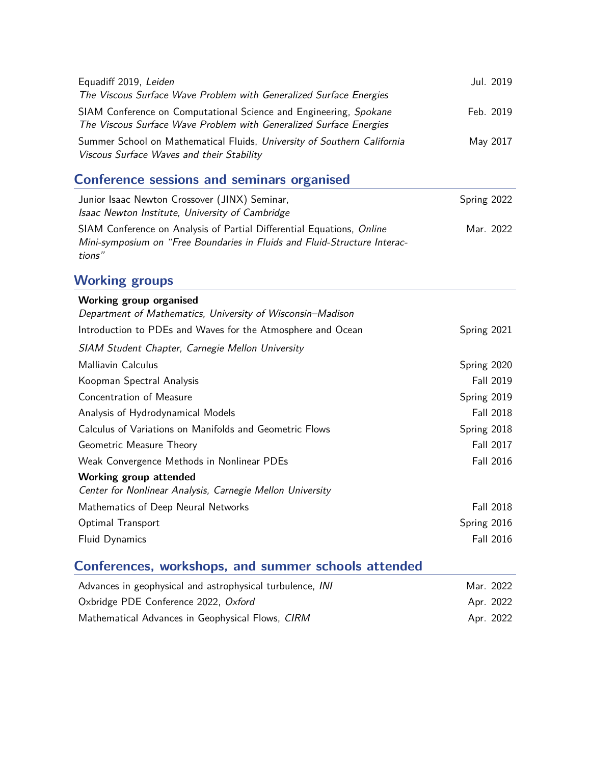| Equadiff 2019, Leiden                                                                                                                   | Jul. 2019 |
|-----------------------------------------------------------------------------------------------------------------------------------------|-----------|
| The Viscous Surface Wave Problem with Generalized Surface Energies                                                                      |           |
| SIAM Conference on Computational Science and Engineering, Spokane<br>The Viscous Surface Wave Problem with Generalized Surface Energies | Feb. 2019 |
| Summer School on Mathematical Fluids, University of Southern California<br>Viscous Surface Waves and their Stability                    | May 2017  |

## **Conference sessions and seminars organised**

| Junior Isaac Newton Crossover (JINX) Seminar,<br>Isaac Newton Institute, University of Cambridge                                                   | Spring 2022 |
|----------------------------------------------------------------------------------------------------------------------------------------------------|-------------|
| SIAM Conference on Analysis of Partial Differential Equations, Online<br>Mini-symposium on "Free Boundaries in Fluids and Fluid-Structure Interac- | Mar. 2022   |
| tions"                                                                                                                                             |             |

#### **Working groups**

| <b>Working group organised</b>                                                      |                  |
|-------------------------------------------------------------------------------------|------------------|
| Department of Mathematics, University of Wisconsin-Madison                          |                  |
| Introduction to PDEs and Waves for the Atmosphere and Ocean                         | Spring 2021      |
| SIAM Student Chapter, Carnegie Mellon University                                    |                  |
| Malliavin Calculus                                                                  | Spring 2020      |
| Koopman Spectral Analysis                                                           | Fall 2019        |
| Concentration of Measure                                                            | Spring 2019      |
| Analysis of Hydrodynamical Models                                                   | <b>Fall 2018</b> |
| Calculus of Variations on Manifolds and Geometric Flows                             | Spring 2018      |
| Geometric Measure Theory                                                            | <b>Fall 2017</b> |
| Weak Convergence Methods in Nonlinear PDEs                                          | <b>Fall 2016</b> |
| Working group attended<br>Center for Nonlinear Analysis, Carnegie Mellon University |                  |
| Mathematics of Deep Neural Networks                                                 | Fall 2018        |
| Optimal Transport                                                                   | Spring 2016      |
| <b>Fluid Dynamics</b>                                                               | <b>Fall 2016</b> |

## **Conferences, workshops, and summer schools attended**

| Advances in geophysical and astrophysical turbulence, INI | Mar. 2022 |
|-----------------------------------------------------------|-----------|
| Oxbridge PDE Conference 2022, Oxford                      | Apr. 2022 |
| Mathematical Advances in Geophysical Flows, CIRM          | Apr. 2022 |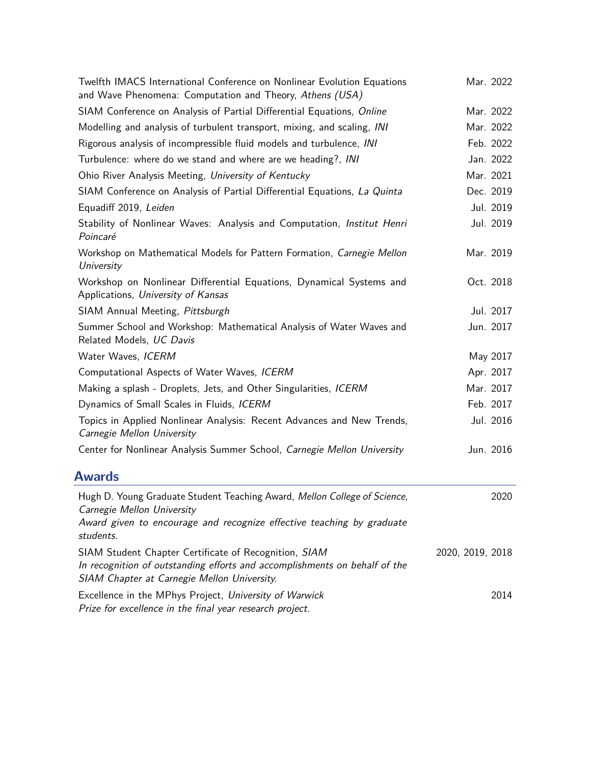| Twelfth IMACS International Conference on Nonlinear Evolution Equations<br>and Wave Phenomena: Computation and Theory, Athens (USA)                                                | Mar. 2022        |
|------------------------------------------------------------------------------------------------------------------------------------------------------------------------------------|------------------|
| SIAM Conference on Analysis of Partial Differential Equations, Online                                                                                                              | Mar. 2022        |
| Modelling and analysis of turbulent transport, mixing, and scaling, INI                                                                                                            | Mar. 2022        |
| Rigorous analysis of incompressible fluid models and turbulence, INI                                                                                                               | Feb. 2022        |
| Turbulence: where do we stand and where are we heading?, INI                                                                                                                       | Jan. 2022        |
| Ohio River Analysis Meeting, University of Kentucky                                                                                                                                | Mar. 2021        |
| SIAM Conference on Analysis of Partial Differential Equations, La Quinta                                                                                                           | Dec. 2019        |
| Equadiff 2019, Leiden                                                                                                                                                              | Jul. 2019        |
| Stability of Nonlinear Waves: Analysis and Computation, Institut Henri<br>Poincaré                                                                                                 | Jul. 2019        |
| Workshop on Mathematical Models for Pattern Formation, Carnegie Mellon<br>University                                                                                               | Mar. 2019        |
| Workshop on Nonlinear Differential Equations, Dynamical Systems and<br>Applications, University of Kansas                                                                          | Oct. 2018        |
| SIAM Annual Meeting, Pittsburgh                                                                                                                                                    | Jul. 2017        |
| Summer School and Workshop: Mathematical Analysis of Water Waves and<br>Related Models, UC Davis                                                                                   | Jun. 2017        |
| Water Waves, ICERM                                                                                                                                                                 | May 2017         |
| Computational Aspects of Water Waves, ICERM                                                                                                                                        | Apr. 2017        |
| Making a splash - Droplets, Jets, and Other Singularities, ICERM                                                                                                                   | Mar. 2017        |
| Dynamics of Small Scales in Fluids, ICERM                                                                                                                                          | Feb. 2017        |
| Topics in Applied Nonlinear Analysis: Recent Advances and New Trends,<br>Carnegie Mellon University                                                                                | Jul. 2016        |
| Center for Nonlinear Analysis Summer School, Carnegie Mellon University                                                                                                            | Jun. 2016        |
| <b>Awards</b>                                                                                                                                                                      |                  |
| Hugh D. Young Graduate Student Teaching Award, Mellon College of Science,<br>Carnegie Mellon University                                                                            | 2020             |
| Award given to encourage and recognize effective teaching by graduate<br>students.                                                                                                 |                  |
| SIAM Student Chapter Certificate of Recognition, SIAM<br>In recognition of outstanding efforts and accomplishments on behalf of the<br>SIAM Chapter at Carnegie Mellon University. | 2020, 2019, 2018 |
| Excellence in the MPhys Project, University of Warwick                                                                                                                             | 2014             |

Prize for excellence in the final year research project.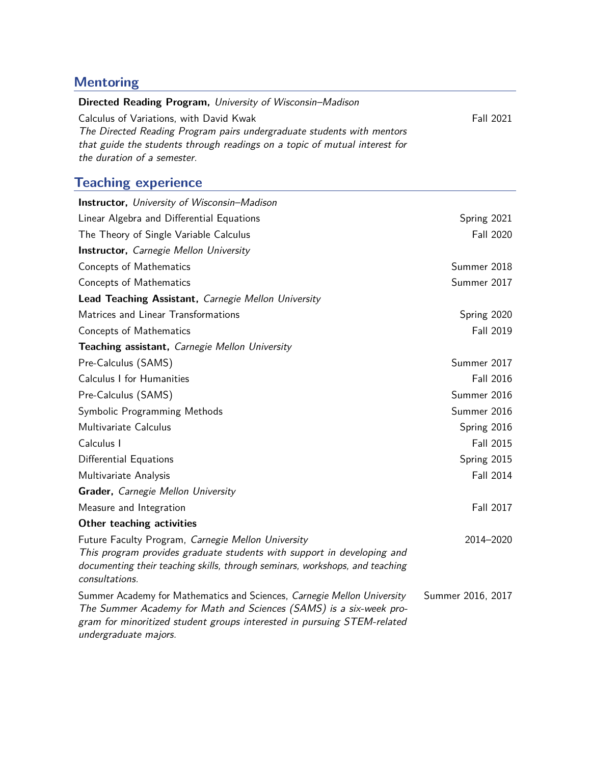## **Mentoring**

| Directed Reading Program, University of Wisconsin-Madison                  |                  |
|----------------------------------------------------------------------------|------------------|
| Calculus of Variations, with David Kwak                                    | <b>Fall 2021</b> |
| The Directed Reading Program pairs undergraduate students with mentors     |                  |
| that guide the students through readings on a topic of mutual interest for |                  |
| the duration of a semester.                                                |                  |

# **Teaching experience**

| <b>Instructor, University of Wisconsin-Madison</b>                                                                                                                                                                                                |                   |
|---------------------------------------------------------------------------------------------------------------------------------------------------------------------------------------------------------------------------------------------------|-------------------|
| Linear Algebra and Differential Equations                                                                                                                                                                                                         | Spring 2021       |
| The Theory of Single Variable Calculus                                                                                                                                                                                                            | <b>Fall 2020</b>  |
| <b>Instructor, Carnegie Mellon University</b>                                                                                                                                                                                                     |                   |
| <b>Concepts of Mathematics</b>                                                                                                                                                                                                                    | Summer 2018       |
| <b>Concepts of Mathematics</b>                                                                                                                                                                                                                    | Summer 2017       |
| Lead Teaching Assistant, Carnegie Mellon University                                                                                                                                                                                               |                   |
| Matrices and Linear Transformations                                                                                                                                                                                                               | Spring 2020       |
| Concepts of Mathematics                                                                                                                                                                                                                           | <b>Fall 2019</b>  |
| Teaching assistant, Carnegie Mellon University                                                                                                                                                                                                    |                   |
| Pre-Calculus (SAMS)                                                                                                                                                                                                                               | Summer 2017       |
| Calculus I for Humanities                                                                                                                                                                                                                         | <b>Fall 2016</b>  |
| Pre-Calculus (SAMS)                                                                                                                                                                                                                               | Summer 2016       |
| Symbolic Programming Methods                                                                                                                                                                                                                      | Summer 2016       |
| Multivariate Calculus                                                                                                                                                                                                                             | Spring 2016       |
| Calculus I                                                                                                                                                                                                                                        | Fall 2015         |
| Differential Equations                                                                                                                                                                                                                            | Spring 2015       |
| Multivariate Analysis                                                                                                                                                                                                                             | <b>Fall 2014</b>  |
| Grader, Carnegie Mellon University                                                                                                                                                                                                                |                   |
| Measure and Integration                                                                                                                                                                                                                           | <b>Fall 2017</b>  |
| Other teaching activities                                                                                                                                                                                                                         |                   |
| Future Faculty Program, Carnegie Mellon University<br>This program provides graduate students with support in developing and<br>documenting their teaching skills, through seminars, workshops, and teaching<br>consultations.                    | 2014-2020         |
| Summer Academy for Mathematics and Sciences, Carnegie Mellon University<br>The Summer Academy for Math and Sciences (SAMS) is a six-week pro-<br>gram for minoritized student groups interested in pursuing STEM-related<br>undergraduate majors. | Summer 2016, 2017 |